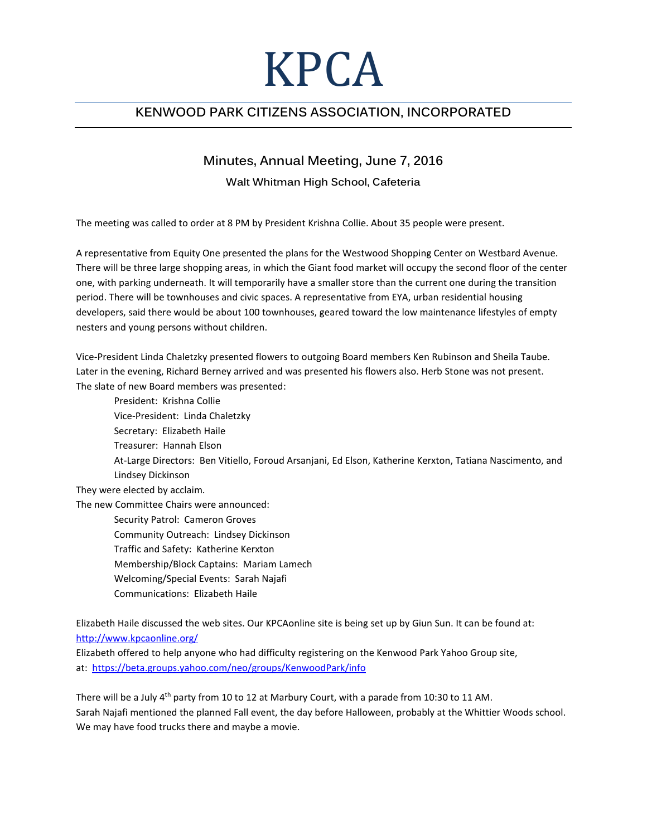## KPCA

## **KENWOOD PARK CITIZENS ASSOCIATION, INCORPORATED**

## **Minutes, Annual Meeting, June 7, 2016**

## **Walt Whitman High School, Cafeteria**

The meeting was called to order at 8 PM by President Krishna Collie. About 35 people were present.

A representative from Equity One presented the plans for the Westwood Shopping Center on Westbard Avenue. There will be three large shopping areas, in which the Giant food market will occupy the second floor of the center one, with parking underneath. It will temporarily have a smaller store than the current one during the transition period. There will be townhouses and civic spaces. A representative from EYA, urban residential housing developers, said there would be about 100 townhouses, geared toward the low maintenance lifestyles of empty nesters and young persons without children.

Vice-President Linda Chaletzky presented flowers to outgoing Board members Ken Rubinson and Sheila Taube. Later in the evening, Richard Berney arrived and was presented his flowers also. Herb Stone was not present. The slate of new Board members was presented:

President: Krishna Collie Vice-President: Linda Chaletzky Secretary: Elizabeth Haile Treasurer: Hannah Elson At-Large Directors: Ben Vitiello, Foroud Arsanjani, Ed Elson, Katherine Kerxton, Tatiana Nascimento, and Lindsey Dickinson They were elected by acclaim. The new Committee Chairs were announced: Security Patrol: Cameron Groves Community Outreach: Lindsey Dickinson Traffic and Safety: Katherine Kerxton

- Membership/Block Captains: Mariam Lamech
- Welcoming/Special Events: Sarah Najafi
- Communications: Elizabeth Haile

Elizabeth Haile discussed the web sites. Our KPCAonline site is being set up by Giun Sun. It can be found at: <http://www.kpcaonline.org/>

Elizabeth offered to help anyone who had difficulty registering on the Kenwood Park Yahoo Group site, at:<https://beta.groups.yahoo.com/neo/groups/KenwoodPark/info>

There will be a July 4<sup>th</sup> party from 10 to 12 at Marbury Court, with a parade from 10:30 to 11 AM. Sarah Najafi mentioned the planned Fall event, the day before Halloween, probably at the Whittier Woods school. We may have food trucks there and maybe a movie.